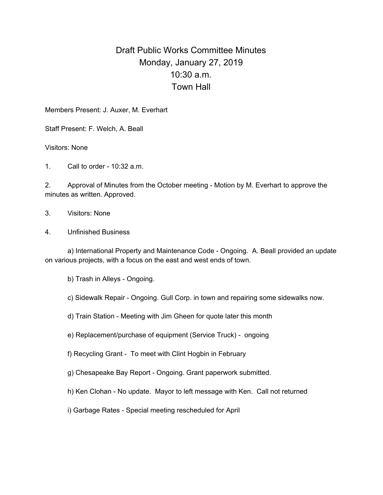## Draft Public Works Committee Minutes Monday, January 27, 2019 10:30 a.m. Town Hall

Members Present: J. Auxer, M. Everhart

Staff Present: F. Welch, A. Beall

Visitors: None

1. Call to order - 10:32 a.m.

2. Approval of Minutes from the October meeting - Motion by M. Everhart to approve the minutes as written. Approved.

3. Visitors: None

4. Unfinished Business

a) International Property and Maintenance Code - Ongoing. A. Beall provided an update on various projects, with a focus on the east and west ends of town.

b) Trash in Alleys - Ongoing.

c) Sidewalk Repair - Ongoing. Gull Corp. in town and repairing some sidewalks now.

d) Train Station - Meeting with Jim Gheen for quote later this month

e) Replacement/purchase of equipment (Service Truck) - ongoing

f) Recycling Grant - To meet with Clint Hogbin in February

g) Chesapeake Bay Report - Ongoing. Grant paperwork submitted.

h) Ken Clohan - No update. Mayor to left message with Ken. Call not returned

i) Garbage Rates - Special meeting rescheduled for April